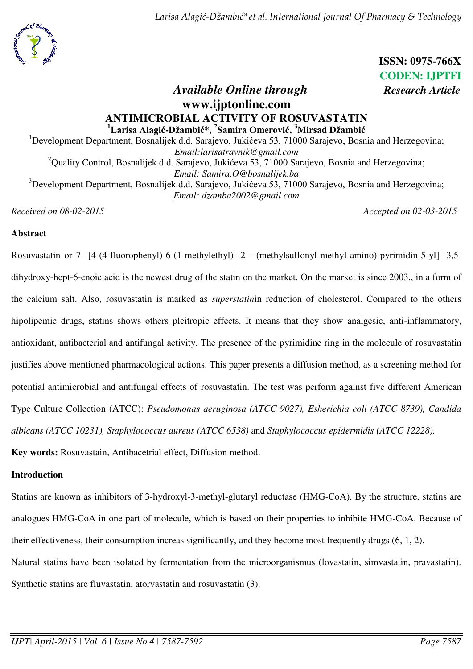*Larisa Alagić-Džambić\*et al. International Journal Of Pharmacy & Technology* 



**ISSN: 0975-766X CODEN: IJPTFI** 

# *Available Online through Research Article* **www.ijptonline.com ANTIMICROBIAL ACTIVITY OF ROSUVASTATIN <sup>1</sup>Larisa Alagić-Džambić\*, <sup>2</sup> Samira Omerović, <sup>3</sup>Mirsad Džambić** <sup>1</sup>Development Department, Bosnalijek d.d. Sarajevo, Jukićeva 53, 71000 Sarajevo, Bosnia and Herzegovina;

*Email[:larisatravnik@gmail.com](mailto:larisatravnik@gmail.com)*

<sup>2</sup>Quality Control, Bosnalijek d.d. Sarajevo, Jukićeva 53, 71000 Sarajevo, Bosnia and Herzegovina; *Email: [Samira.O@bosnalijek.ba](mailto:Samira.O@bosnalijek.ba;)*

<sup>3</sup>Development Department, Bosnalijek d.d. Sarajevo, Jukićeva 53, 71000 Sarajevo, Bosnia and Herzegovina; *Email: [dzamba2002@gmail.com](mailto:dzamba2002@gmail.com)*

*Received on 08-02-2015 Accepted on 02-03-2015* 

### **Abstract**

Rosuvastatin or 7- [4-(4-fluorophenyl)-6-(1-methylethyl) -2 - (methylsulfonyl-methyl-amino)-pyrimidin-5-yl] -3,5 dihydroxy-hept-6-enoic acid is the newest drug of the statin on the market. On the market is since 2003., in a form of the calcium salt. Also, rosuvastatin is marked as *superstatin*in reduction of cholesterol. Compared to the others hipolipemic drugs, statins shows others pleitropic effects. It means that they show analgesic, anti-inflammatory, antioxidant, antibacterial and antifungal activity. The presence of the pyrimidine ring in the molecule of rosuvastatin justifies above mentioned pharmacological actions. This paper presents a diffusion method, as a screening method for potential antimicrobial and antifungal effects of rosuvastatin. The test was perform against five different American Type Culture Collection (ATCC): *Pseudomonas aeruginosa (ATCC 9027), Esherichia coli (ATCC 8739), Candida albicans (ATCC 10231), Staphylococcus aureus (ATCC 6538)* and *Staphylococcus epidermidis (ATCC 12228).*

**Key words:** Rosuvastain, Antibacetrial effect, Diffusion method.

## **Introduction**

Statins are known as inhibitors of 3-hydroxyl-3-methyl-glutaryl reductase (HMG-CoA). By the structure, statins are analogues HMG-CoA in one part of molecule, which is based on their properties to inhibite HMG-CoA. Because of their effectiveness, their consumption increas significantly, and they become most frequently drugs (6, 1, 2). Natural statins have been isolated by fermentation from the microorganismus (lovastatin, simvastatin, pravastatin). Synthetic statins are fluvastatin, atorvastatin and rosuvastatin (3).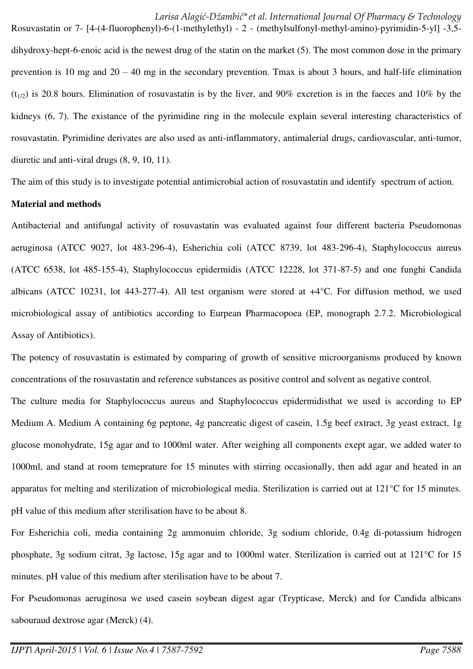Rosuvastatin or 7- [4-(4-fluorophenyl)-6-(1-methylethyl) - 2 - (methylsulfonyl-methyl-amino)-pyrimidin-5-yl] -3,5 dihydroxy-hept-6-enoic acid is the newest drug of the statin on the market (5). The most common dose in the primary prevention is 10 mg and 20 – 40 mg in the secondary prevention. Tmax is about 3 hours, and half-life elimination  $(t_{1/2})$  is 20.8 hours. Elimination of rosuvastatin is by the liver, and 90% excretion is in the faeces and 10% by the kidneys (6, 7). The existance of the pyrimidine ring in the molecule explain several interesting characteristics of rosuvastatin. Pyrimidine derivates are also used as anti-inflammatory, antimalerial drugs, cardiovascular, anti-tumor, diuretic and anti-viral drugs (8, 9, 10, 11).

The aim of this study is to investigate potential antimicrobial action of rosuvastatin and identify spectrum of action.

### **Material and methods**

Antibacterial and antifungal activity of rosuvastatin was evaluated against four different bacteria Pseudomonas aeruginosa (ATCC 9027, lot 483-296-4), Esherichia coli (ATCC 8739, lot 483-296-4), Staphylococcus aureus (ATCC 6538, lot 485-155-4), Staphylococcus epidermidis (ATCC 12228, lot 371-87-5) and one funghi Candida albicans (ATCC 10231, lot 443-277-4). All test organism were stored at +4°C. For diffusion method, we used microbiological assay of antibiotics according to Eurpean Pharmacopoea (EP, monograph 2.7.2. Microbiological Assay of Antibiotics).

The potency of rosuvastatin is estimated by comparing of growth of sensitive microorganisms produced by known concentrations of the rosuvastatin and reference substances as positive control and solvent as negative control.

The culture media for Staphylococcus aureus and Staphylococcus epidermidisthat we used is according to EP Medium A. Medium A containing 6g peptone, 4g pancreatic digest of casein, 1.5g beef extract, 3g yeast extract, 1g glucose monohydrate, 15g agar and to 1000ml water. After weighing all components exept agar, we added water to 1000ml, and stand at room temeprature for 15 minutes with stirring occasionally, then add agar and heated in an apparatus for melting and sterilization of microbiological media. Sterilization is carried out at 121°C for 15 minutes. pH value of this medium after sterilisation have to be about 8.

For Esherichia coli, media containing 2g ammonuim chloride, 3g sodium chloride, 0.4g di-potassium hidrogen phosphate, 3g sodium citrat, 3g lactose, 15g agar and to 1000ml water. Sterilization is carried out at 121°C for 15 minutes. pH value of this medium after sterilisation have to be about 7.

For Pseudomonas aeruginosa we used casein soybean digest agar (Trypticase, Merck) and for Candida albicans sabouraud dextrose agar (Merck) (4).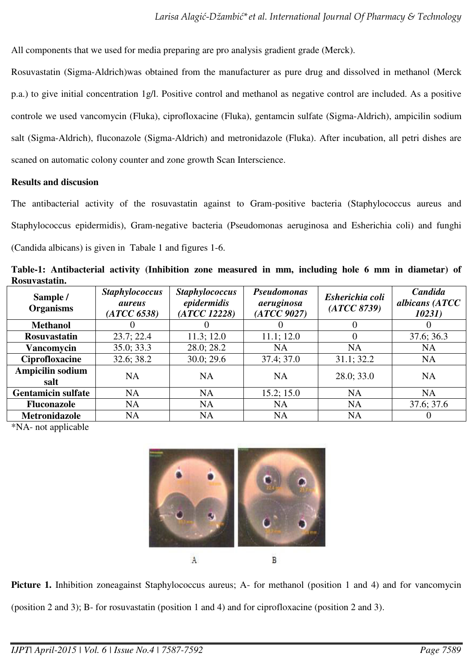All components that we used for media preparing are pro analysis gradient grade (Merck).

Rosuvastatin (Sigma-Aldrich)was obtained from the manufacturer as pure drug and dissolved in methanol (Merck p.a.) to give initial concentration 1g/l. Positive control and methanol as negative control are included. As a positive controle we used vancomycin (Fluka), ciprofloxacine (Fluka), gentamcin sulfate (Sigma-Aldrich), ampicilin sodium salt (Sigma-Aldrich), fluconazole (Sigma-Aldrich) and metronidazole (Fluka). After incubation, all petri dishes are scaned on automatic colony counter and zone growth Scan Interscience.

#### **Results and discusion**

The antibacterial activity of the rosuvastatin against to Gram-positive bacteria (Staphylococcus aureus and Staphylococcus epidermidis), Gram-negative bacteria (Pseudomonas aeruginosa and Esherichia coli) and funghi (Candida albicans) is given in Tabale 1 and figures 1-6.

**Table-1: Antibacterial activity (Inhibition zone measured in mm, including hole 6 mm in diametar) of Rosuvastatin.**

| Sample /<br><b>Organisms</b> | <b>Staphylococcus</b><br><i>aureus</i><br>(ATCC 6538) | <b>Staphylococcus</b><br>epidermidis<br>(ATCC 12228) | <b>Pseudomonas</b><br>aeruginosa<br>(ATCC 9027) | Esherichia coli<br>(ATCC 8739) | Candida<br>albicans (ATCC<br>10231) |
|------------------------------|-------------------------------------------------------|------------------------------------------------------|-------------------------------------------------|--------------------------------|-------------------------------------|
| <b>Methanol</b>              |                                                       |                                                      |                                                 | $\theta$                       |                                     |
| <b>Rosuvastatin</b>          | 23.7; 22.4                                            | 11.3; 12.0                                           | 11.1; 12.0                                      | $\Omega$                       | 37.6; 36.3                          |
| Vancomycin                   | 35.0; 33.3                                            | 28.0; 28.2                                           | <b>NA</b>                                       | <b>NA</b>                      | <b>NA</b>                           |
| <b>Ciprofloxacine</b>        | 32.6; 38.2                                            | 30.0; 29.6                                           | 37.4; 37.0                                      | 31.1; 32.2                     | <b>NA</b>                           |
| Ampicilin sodium<br>salt     | <b>NA</b>                                             | <b>NA</b>                                            | <b>NA</b>                                       | 28.0; 33.0                     | <b>NA</b>                           |
| <b>Gentamicin sulfate</b>    | <b>NA</b>                                             | <b>NA</b>                                            | 15.2; 15.0                                      | <b>NA</b>                      | <b>NA</b>                           |
| <b>Fluconazole</b>           | <b>NA</b>                                             | <b>NA</b>                                            | <b>NA</b>                                       | <b>NA</b>                      | 37.6; 37.6                          |
| <b>Metronidazole</b>         | <b>NA</b>                                             | <b>NA</b>                                            | <b>NA</b>                                       | <b>NA</b>                      |                                     |

\*NA- not applicable



**Picture 1.** Inhibition zoneagainst Staphylococcus aureus; A- for methanol (position 1 and 4) and for vancomycin (position 2 and 3); B- for rosuvastatin (position 1 and 4) and for ciprofloxacine (position 2 and 3).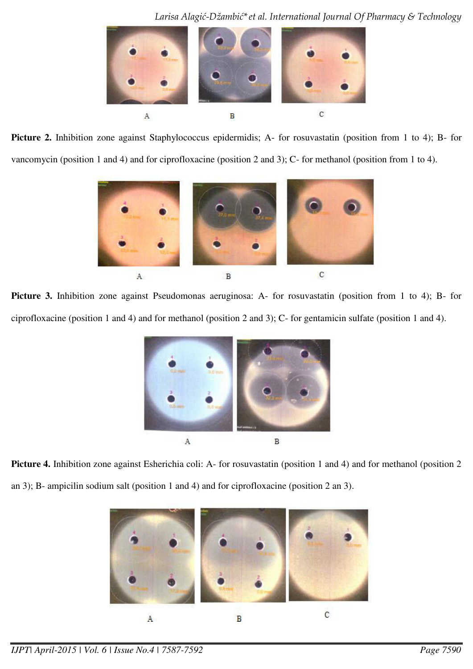

**Picture 2.** Inhibition zone against Staphylococcus epidermidis; A- for rosuvastatin (position from 1 to 4); B- for vancomycin (position 1 and 4) and for ciprofloxacine (position 2 and 3); C- for methanol (position from 1 to 4).



**Picture 3.** Inhibition zone against Pseudomonas aeruginosa: A- for rosuvastatin (position from 1 to 4); B- for ciprofloxacine (position 1 and 4) and for methanol (position 2 and 3); C- for gentamicin sulfate (position 1 and 4).



**Picture 4.** Inhibition zone against Esherichia coli: A- for rosuvastatin (position 1 and 4) and for methanol (position 2 an 3); B- ampicilin sodium salt (position 1 and 4) and for ciprofloxacine (position 2 an 3).

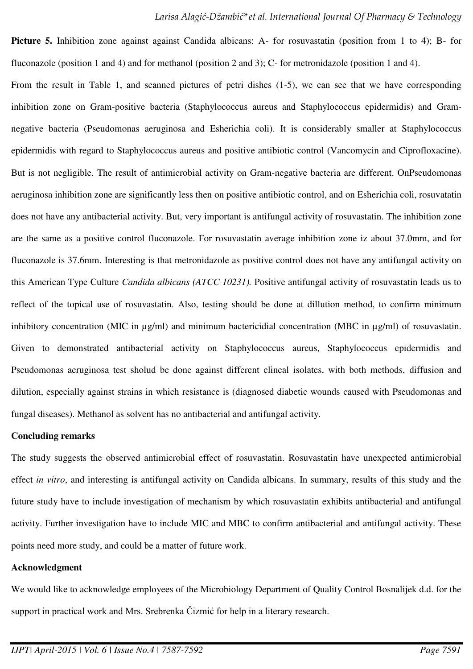**Picture 5.** Inhibition zone against against Candida albicans: A- for rosuvastatin (position from 1 to 4); B- for fluconazole (position 1 and 4) and for methanol (position 2 and 3); C- for metronidazole (position 1 and 4).

From the result in Table 1, and scanned pictures of petri dishes (1-5), we can see that we have corresponding inhibition zone on Gram-positive bacteria (Staphylococcus aureus and Staphylococcus epidermidis) and Gramnegative bacteria (Pseudomonas aeruginosa and Esherichia coli). It is considerably smaller at Staphylococcus epidermidis with regard to Staphylococcus aureus and positive antibiotic control (Vancomycin and Ciprofloxacine). But is not negligible. The result of antimicrobial activity on Gram-negative bacteria are different. OnPseudomonas aeruginosa inhibition zone are significantly less then on positive antibiotic control, and on Esherichia coli, rosuvatatin does not have any antibacterial activity. But, very important is antifungal activity of rosuvastatin. The inhibition zone are the same as a positive control fluconazole. For rosuvastatin average inhibition zone iz about 37.0mm, and for fluconazole is 37.6mm. Interesting is that metronidazole as positive control does not have any antifungal activity on this American Type Culture *Candida albicans (ATCC 10231).* Positive antifungal activity of rosuvastatin leads us to reflect of the topical use of rosuvastatin. Also, testing should be done at dillution method, to confirm minimum inhibitory concentration (MIC in µg/ml) and minimum bactericidial concentration (MBC in µg/ml) of rosuvastatin. Given to demonstrated antibacterial activity on Staphylococcus aureus, Staphylococcus epidermidis and Pseudomonas aeruginosa test sholud be done against different clincal isolates, with both methods, diffusion and dilution, especially against strains in which resistance is (diagnosed diabetic wounds caused with Pseudomonas and fungal diseases). Methanol as solvent has no antibacterial and antifungal activity.

#### **Concluding remarks**

The study suggests the observed antimicrobial effect of rosuvastatin. Rosuvastatin have unexpected antimicrobial effect *in vitro*, and interesting is antifungal activity on Candida albicans. In summary, results of this study and the future study have to include investigation of mechanism by which rosuvastatin exhibits antibacterial and antifungal activity. Further investigation have to include MIC and MBC to confirm antibacterial and antifungal activity. These points need more study, and could be a matter of future work.

#### **Acknowledgment**

We would like to acknowledge employees of the Microbiology Department of Quality Control Bosnalijek d.d. for the support in practical work and Mrs. Srebrenka Čizmić for help in a literary research.